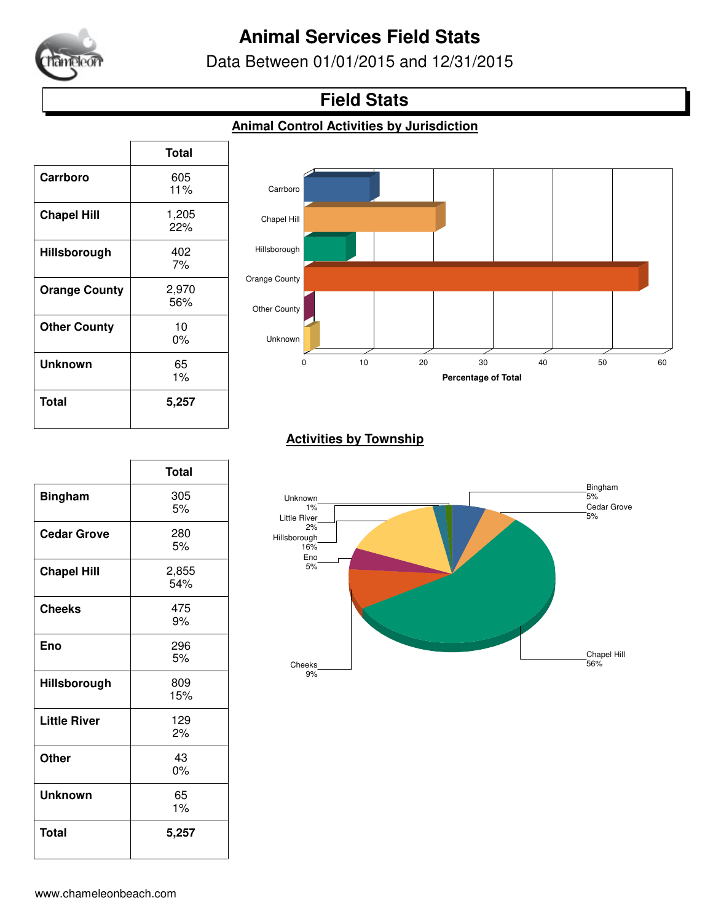

# **Animal Services Field Stats**

Data Between 01/01/2015 and 12/31/2015

### **Field Stats**

#### **Animal Control Activities by Jurisdiction**

|                      | <b>Total</b> |
|----------------------|--------------|
| Carrboro             | 605<br>11%   |
| <b>Chapel Hill</b>   | 1,205<br>22% |
| Hillsborough         | 402<br>7%    |
| <b>Orange County</b> | 2,970<br>56% |
| <b>Other County</b>  | 10<br>0%     |
| Unknown              | 65<br>$1\%$  |
| <b>Total</b>         | 5,257        |



#### **Activities by Township**

|                     | <b>Total</b> |
|---------------------|--------------|
| <b>Bingham</b>      | 305<br>5%    |
| <b>Cedar Grove</b>  | 280<br>5%    |
| <b>Chapel Hill</b>  | 2,855<br>54% |
| <b>Cheeks</b>       | 475<br>9%    |
| Eno                 | 296<br>5%    |
| Hillsborough        | 809<br>15%   |
| <b>Little River</b> | 129<br>2%    |
| Other               | 43<br>0%     |
| Unknown             | 65<br>$1\%$  |
| Total               | 5,257        |

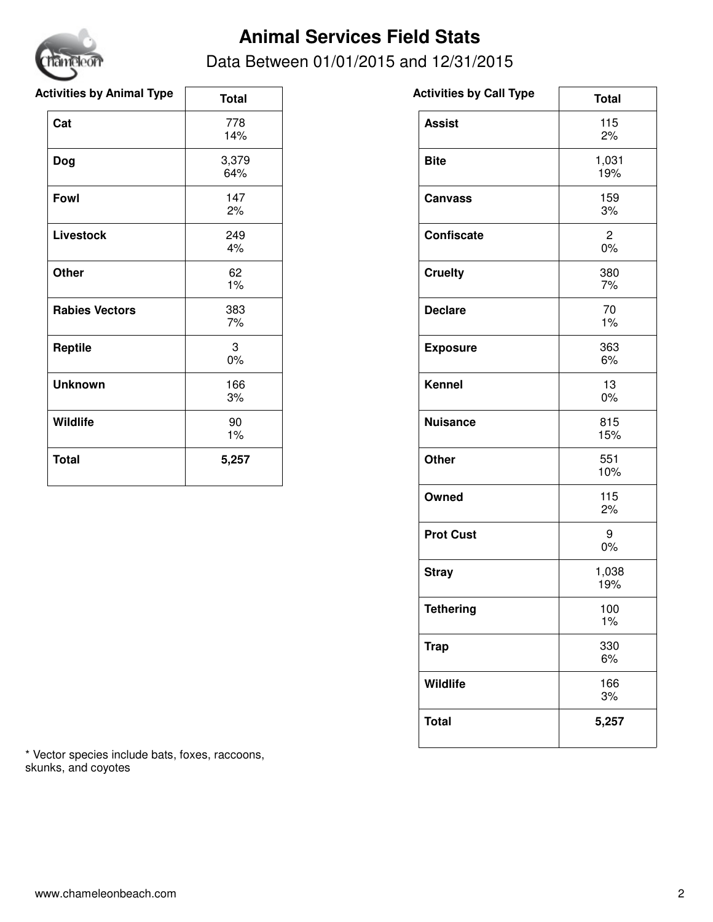

# **Animal Services Field Stats**

### Data Between 01/01/2015 and 12/31/2015

| <b>Total</b> | <b>Activities by Call Type</b> |
|--------------|--------------------------------|
| 778<br>14%   | <b>Assist</b>                  |
| 3,379<br>64% | <b>Bite</b>                    |
| 147<br>2%    | <b>Canvass</b>                 |
| 249<br>4%    | <b>Confiscate</b>              |
| 62<br>$1\%$  | <b>Cruelty</b>                 |
| 383<br>7%    | <b>Declare</b>                 |
| 3<br>$0\%$   | <b>Exposure</b>                |
| 166<br>3%    | <b>Kennel</b>                  |
| 90<br>1%     | <b>Nuisance</b>                |
| 5,257        | Other                          |
|              |                                |

| <b>Total</b>         |
|----------------------|
| 115<br>2%            |
| 1,031<br>19%         |
| 159<br>3%            |
| $\overline{c}$<br>0% |
| 380<br>7%            |
| 70<br>1%             |
| 363<br>6%            |
| 13<br>$0\%$          |
| 815<br>15%           |
| 551<br>10%           |
| 115<br>2%            |
| 9<br>0%              |
| 1,038<br>19%         |
| 100<br>1%            |
| 330<br>6%            |
| 166<br>3%            |
| 5,257                |
|                      |

\* Vector species include bats, foxes, raccoons, skunks, and coyotes